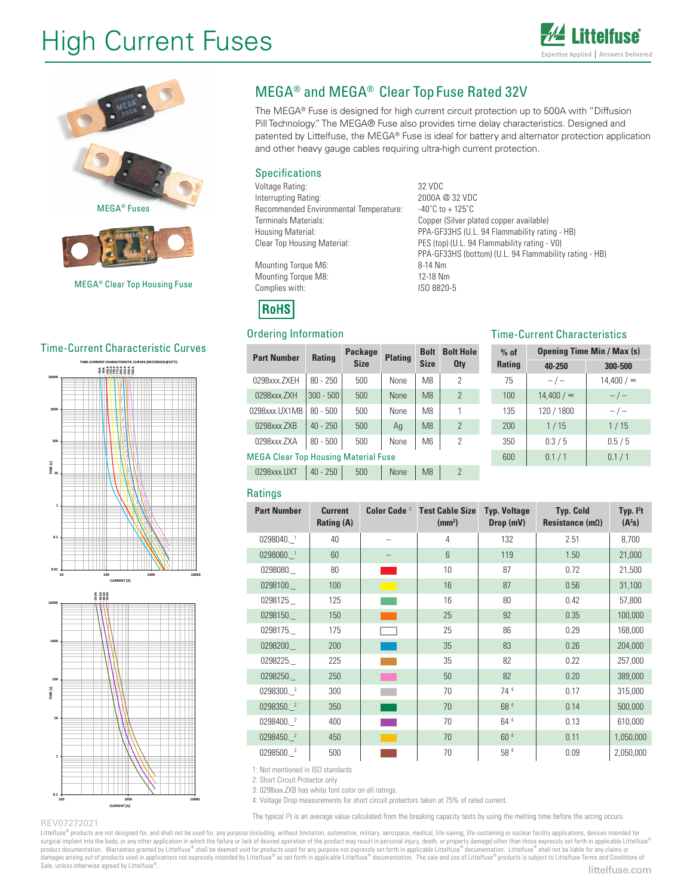# High Current Fuses





#### Time-Current Characteristic Curves





## MEGA® and MEGA® Clear Top Fuse Rated 32V

The MEGA® Fuse is designed for high current circuit protection up to 500A with "Diffusion Pill Technology." The MEGA® Fuse also provides time delay characteristics. Designed and patented by Littelfuse, the MEGA® Fuse is ideal for battery and alternator protection application and other heavy gauge cables requiring ultra-high current protection.

#### Specifications

Voltage Rating: 32 VDC Interrupting Rating: 2000A @ 32 VDC Recommended Environmental Temperature: -40°C to +125°C Terminals Materials: Copper (Silver plated copper available) Housing Material: PPA-GF33HS (U.L. 94 Flammability rating - HB) Clear Top Housing Material: PES (top) (U.L. 94 Flammability rating - V0)

Mounting Torque M6: 8-14 Nm Mounting Torque M8: 12-18 Nm<br>
Complies with: 150 8820-5 Complies with:

**RoHS** 

#### Ordering Information

| <b>Part Number</b>                          |               | <b>Package</b><br><b>Rating</b><br><b>Size</b> |     | <b>Bolt</b><br><b>Plating</b><br><b>Size</b> |                | <b>Bolt Hole</b><br><b>Qty</b> |  |  |
|---------------------------------------------|---------------|------------------------------------------------|-----|----------------------------------------------|----------------|--------------------------------|--|--|
|                                             | 0298xxx.ZXEH  | $80 - 250$                                     | 500 | None                                         | M <sub>8</sub> | 2                              |  |  |
|                                             | 0298xxx.ZXH   | $300 - 500$                                    | 500 | <b>None</b>                                  | M <sub>8</sub> | $\overline{2}$                 |  |  |
|                                             | 0298xxx.UX1M8 | $80 - 500$                                     | 500 | None                                         | M <sub>8</sub> | 1                              |  |  |
|                                             | 0298xxx.ZXB   | $40 - 250$                                     | 500 | Ag                                           | M <sub>8</sub> | $\overline{2}$                 |  |  |
|                                             | 0298xxx.ZXA   | $80 - 500$                                     | 500 | None                                         | M <sub>6</sub> | $\overline{2}$                 |  |  |
| <b>MEGA Clear Top Housing Material Fuse</b> |               |                                                |     |                                              |                |                                |  |  |
|                                             | 0298xxx.UXT   | $40 - 250$                                     | 500 | <b>None</b>                                  | M <sub>8</sub> | $\mathcal{P}$                  |  |  |

#### Time-Current Characteristics

PPA-GF33HS (bottom) (U.L. 94 Flammability rating - HB)

| $%$ of        | <b>Opening Time Min / Max (s)</b> |                   |  |  |  |
|---------------|-----------------------------------|-------------------|--|--|--|
| <b>Rating</b> | 40-250                            | 300-500           |  |  |  |
| 75            | $-/-$                             | $14.400 / \infty$ |  |  |  |
| 100           | 14,400 / ∞                        | $-/-$             |  |  |  |
| 135           | 120 / 1800                        | $-/-$             |  |  |  |
| 200           | 1/15                              | 1/15              |  |  |  |
| 350           | 0.3/5                             | 0.5/5             |  |  |  |
| 600           | 0.1 / 1                           | 0.1/1             |  |  |  |

#### **Ratings**

| <b>Part Number</b> | <b>Color Code<sup>3</sup></b><br><b>Current</b><br><b>Rating (A)</b> |       | <b>Test Cable Size</b><br>(mm <sup>2</sup> ) | <b>Typ. Voltage</b><br>Drop (mV) | <b>Typ. Cold</b><br>Resistance $(m\Omega)$ | Typ. $I2t$<br>$(A^2s)$ |
|--------------------|----------------------------------------------------------------------|-------|----------------------------------------------|----------------------------------|--------------------------------------------|------------------------|
| 0298040. 1         | 40                                                                   |       | 4                                            | 132                              | 2.51                                       | 8,700                  |
| 0298060. 1         | 60                                                                   |       | $6\phantom{1}$                               | 119                              | 1.50                                       | 21,000                 |
| 0298080.           | 80                                                                   |       | 10                                           | 87                               | 0.72                                       | 21,500                 |
| 0298100.           | 100                                                                  |       | 16                                           | 87                               | 0.56                                       | 31,100                 |
| 0298125.           | 125                                                                  |       | 16                                           | 80                               | 0.42                                       | 57,800                 |
| 0298150.           | 150                                                                  |       | 25                                           | 92                               | 0.35                                       | 100,000                |
| 0298175.           | 175                                                                  |       | 25                                           | 86                               | 0.29                                       | 168,000                |
| 0298200.           | 200                                                                  |       | 35                                           | 83                               | 0.26                                       | 204,000                |
| 0298225.           | 225                                                                  |       | 35                                           | 82                               | 0.22                                       | 257,000                |
| 0298250.           | 250                                                                  | l a s | 50                                           | 82                               | 0.20                                       | 389,000                |
| 0298300. 2         | 300                                                                  |       | 70                                           | 74 <sup>4</sup>                  | 0.17                                       | 315,000                |
| 0298350. 2         | 350                                                                  |       | 70                                           | 684                              | 0.14                                       | 500,000                |
| 0298400. 2         | 400                                                                  |       | 70                                           | 64 4                             | 0.13                                       | 610,000                |
| 0298450. 2         | 450                                                                  |       | 70                                           | 60 <sup>4</sup>                  | 0.11                                       | 1,050,000              |
| 0298500. 2         | 500                                                                  |       | 70                                           | 584                              | 0.09                                       | 2,050,000              |

1: Not mentioned in ISO standards

2: Short Circuit Protector only

3: 0298xxx.ZXB has white font color on all ratings.

4: Voltage Drop measurements for short circuit protectors taken at 75% of rated current.

The typical I<sup>2</sup>t is an average value calculated from the breaking capacity tests by using the melting time before the arcing occurs.

REV07272021

Littelfuse® products are not designed for, and shall not be used for, any purpose (including, without limitation, automotive, military, aerospace, medical, life-saving, life-sustaining or nuclear facility applications, dev surgical implant into the body, or any other application in which the failure or lack of desired operation of the product may result in personal injury, death, or property damage) other than those expressly set forth in ap Sale, unless otherwise agreed by Littelfuse